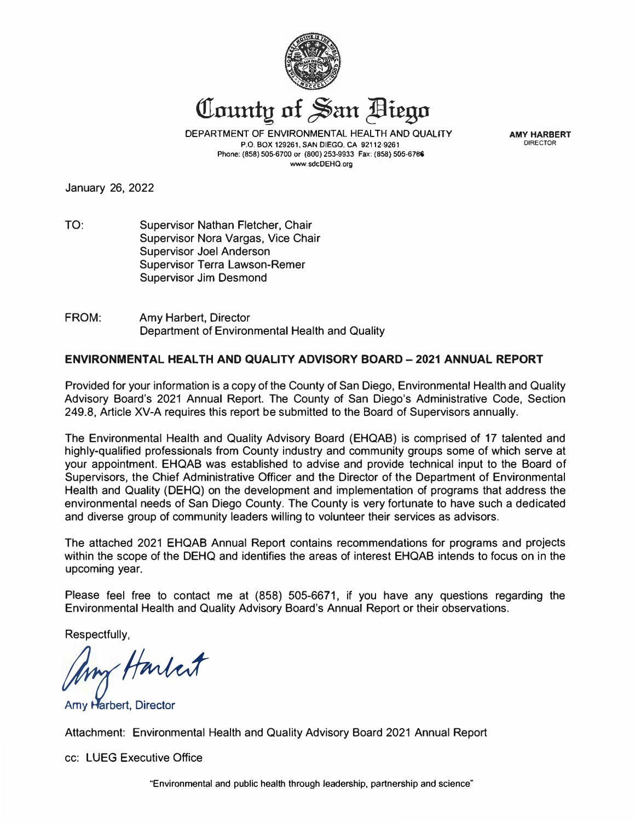

County of San Diego

DEPARTMENT OF ENVIRONMENTAL HEALTH AND QUALITY **P.O. BOX 129261, SAN DIEGO, CA 92112·9261 Phone: (858) 505-6700 or (800) 253-9933 Fax: (858) 505-678:6 www.sdcDEHQ.org** 

**AMY HARBERT DIRECTOR** 

January 26, 2022

- TO: Supervisor Nathan Fletcher, Chair Supervisor Nora Vargas, Vice Chair Supervisor Joel Anderson Supervisor Terra Lawson-Remer Supervisor Jim Desmond
- FROM: Amy Harbert, Director Department of Environmental Health and Quality

#### **ENVIRONMENTAL HEAL** TH **AND QUALITY ADVISORY BOARD** - **2021 ANNUAL REPORT**

Provided for your information is a copy of the County of San Diego, Environmental Health and Quality Advisory Board's 2021 Annual Report. The County of San Diego's Administrative Code, Section 249\_8, Article XV-A requires this report be submitted to the Board of Supervisors annually.

The Environmental Health and Quality Advisory Board (EHQAB) is comprised of 17 talented and highly-qualified professionals from County industry and community groups some of which serve at your appointment. EHQAB was established to advise and provide technical input to the Board of Supervisors, the Chief Administrative Officer and the Director of the Department of Environmental Health and Quality (DEHQ) on the development and implementation of programs that address the environmental needs of San Diego County. The County is very fortunate to have such a dedicated and diverse group of community leaders willing to volunteer their services as advisors.

The attached 2021 EHQAB Annual Report contains recommendations for programs and projects within the scope of the DEHQ and identifies the areas of interest EHQAB intends to focus on in the upcoming year.

Please feel free to contact me at (858) 505-6671, if you have any questions regarding the Environmental Health and Quality Advisory Board's Annual Report or their observations.

Respectfully,

*form Harlest* 

Attachment: Environmental Health and Quality Advisory Board 2021 Annual Report

cc: LUEG Executive Office

"Environmental and public health through leadership, partnership and science?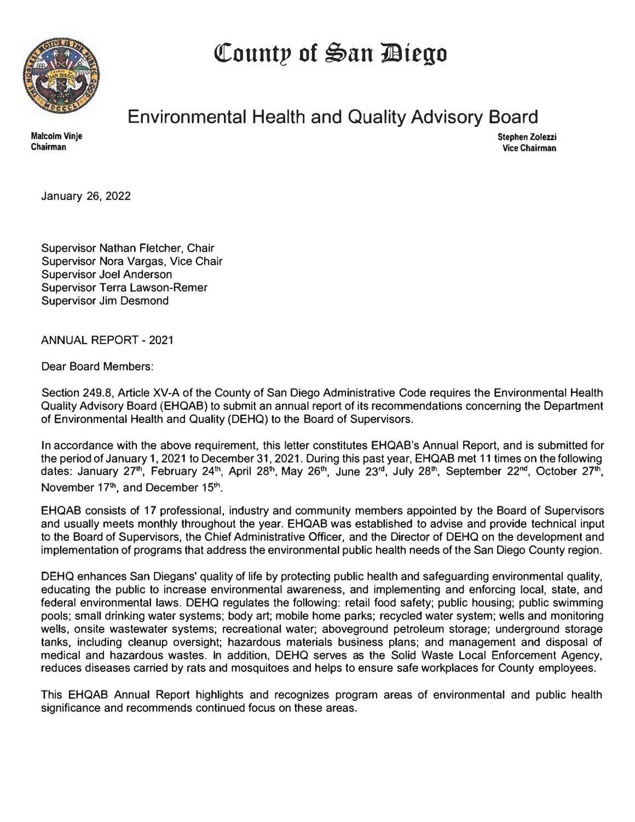**QCountp of �an 110tego** 



# **Environmental Health and Quality Advisory Board**

**Stephen Zolezzi Vice Chairman** 

January 26, 2022

Supervisor Nathan Fletcher, Chair Supervisor Nora Vargas, Vice Chair Supervisor Joel Anderson Supervisor Terra Lawson-Remer Supervisor Jim Desmond

**ANNUAL REPORT- 2021** 

Dear Board Members:

Section 249.8, Article XV-A of the County of San Diego Administrative Code requires the Environmental Health Quality Advisory Board (EHQAB) to submit an annual report of its recommendations concerning the Department of Environmental Health and Quality (DEHQ) to the Board of Supervisors.

In accordance with the above requirement, this letter constitutes EHQAB's Annual Report, and is submitted for the period of January 1, 2021 to December 31, 2021. During this past year, EHQAB met 11 times on the following dates: January 27<sup>th</sup>, February 24<sup>th</sup>, April 28<sup>th</sup>, May 26<sup>th</sup>, June 23<sup>rd</sup>, July 28<sup>th</sup>, September 22<sup>nd</sup>, October 27<sup>th</sup>, November 17<sup>th</sup>, and December 15<sup>th</sup>.

EHQAB consists of 17 professional, industry and community members appointed by the Board of Supervisors and usually meets monthly throughout the year. EHQAB was established to advise and provide technical input to the Board of Supervisors, the Chief Administrative Officer, and the Director of DEHQ on the development and implementation of programs that address the environmental public health needs of the San Diego County region.

DEHQ enhances San Diegans' quality of life by protecting public health and safeguarding environmental quality, educating the public to increase environmental awareness, and implementing and enforcing local, state, and federal environmental laws. DEHQ regulates the following: retail food safety; public housing; public swimming pools; small drinking water systems; body art; mobile home parks; recycled water system; wells and monitoring wells, onsite wastewater systems; recreational water; aboveground petroleum storage; underground storage tanks, including cleanup oversight; hazardous materials business plans; and management and disposal of medical and hazardous wastes. In addition, DEHQ serves as the Solid Waste Local Enforcement Agency, reduces diseases carried by rats and mosquitoes and helps to ensure safe workplaces for County employees.

This EHQAB Annual Report highlights and recognizes program areas of environmental and public health significance and recommends continued focus on these areas.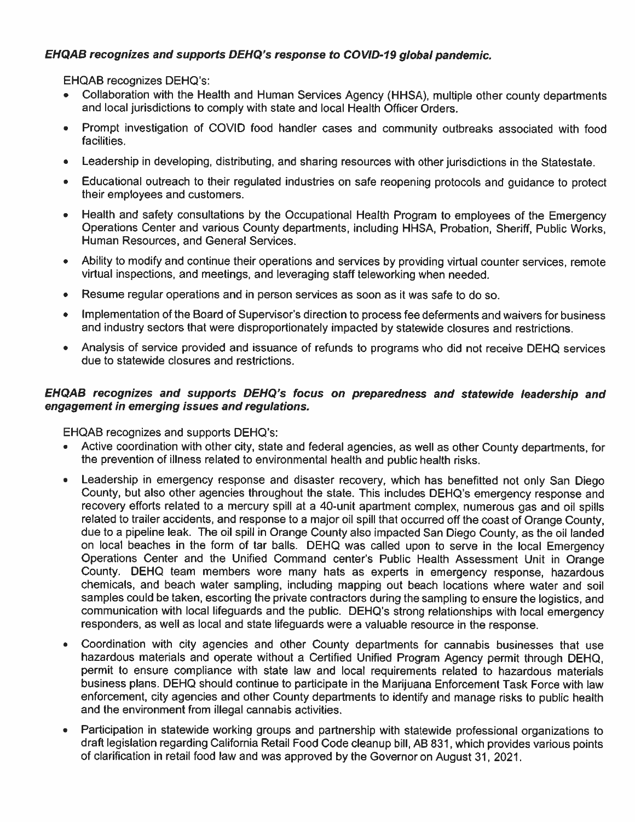#### EHQAB recognizes and supports DEHQ's response to COVID-19 global pandemic.

EHQAB recognizes DEHQ's:

- Collaboration with the Health and Human Services Agency (HHSA), multiple other county departments and local jurisdictions to comply with state and local Health Officer Orders.
- Prompt investigation of COVID food handler cases and community outbreaks associated with food  $\bullet$ facilities.
- Leadership in developing, distributing, and sharing resources with other jurisdictions in the Statestate.  $\bullet$
- $\bullet$ Educational outreach to their regulated industries on safe reopening protocols and guidance to protect their employees and customers.
- Health and safety consultations by the Occupational Health Program to employees of the Emergency  $\bullet$ Operations Center and various County departments, including HHSA, Probation, Sheriff, Public Works, Human Resources, and General Services.
- Ability to modify and continue their operations and services by providing virtual counter services, remote  $\bullet$ virtual inspections, and meetings, and leveraging staff teleworking when needed.
- Resume regular operations and in person services as soon as it was safe to do so.  $\bullet$
- Implementation of the Board of Supervisor's direction to process fee deferments and waivers for business  $\bullet$ and industry sectors that were disproportionately impacted by statewide closures and restrictions.
- Analysis of service provided and issuance of refunds to programs who did not receive DEHQ services  $\bullet$ due to statewide closures and restrictions.

#### EHQAB recognizes and supports DEHQ's focus on preparedness and statewide leadership and engagement in emerging issues and regulations.

**EHQAB** recognizes and supports DEHQ's:

- Active coordination with other city, state and federal agencies, as well as other County departments, for the prevention of illness related to environmental health and public health risks.
- Leadership in emergency response and disaster recovery, which has benefitted not only San Diego  $\bullet$ County, but also other agencies throughout the state. This includes DEHQ's emergency response and recovery efforts related to a mercury spill at a 40-unit apartment complex, numerous gas and oil spills related to trailer accidents, and response to a major oil spill that occurred off the coast of Orange County, due to a pipeline leak. The oil spill in Orange County also impacted San Diego County, as the oil landed on local beaches in the form of tar balls. DEHQ was called upon to serve in the local Emergency Operations Center and the Unified Command center's Public Health Assessment Unit in Orange County. DEHQ team members wore many hats as experts in emergency response, hazardous chemicals, and beach water sampling, including mapping out beach locations where water and soil samples could be taken, escorting the private contractors during the sampling to ensure the logistics, and communication with local lifeguards and the public. DEHQ's strong relationships with local emergency responders, as well as local and state lifeguards were a valuable resource in the response.
- Coordination with city agencies and other County departments for cannabis businesses that use hazardous materials and operate without a Certified Unified Program Agency permit through DEHQ, permit to ensure compliance with state law and local requirements related to hazardous materials business plans. DEHQ should continue to participate in the Marijuana Enforcement Task Force with law enforcement, city agencies and other County departments to identify and manage risks to public health and the environment from illegal cannabis activities.
- Participation in statewide working groups and partnership with statewide professional organizations to  $\bullet$ draft legislation regarding California Retail Food Code cleanup bill, AB 831, which provides various points of clarification in retail food law and was approved by the Governor on August 31, 2021.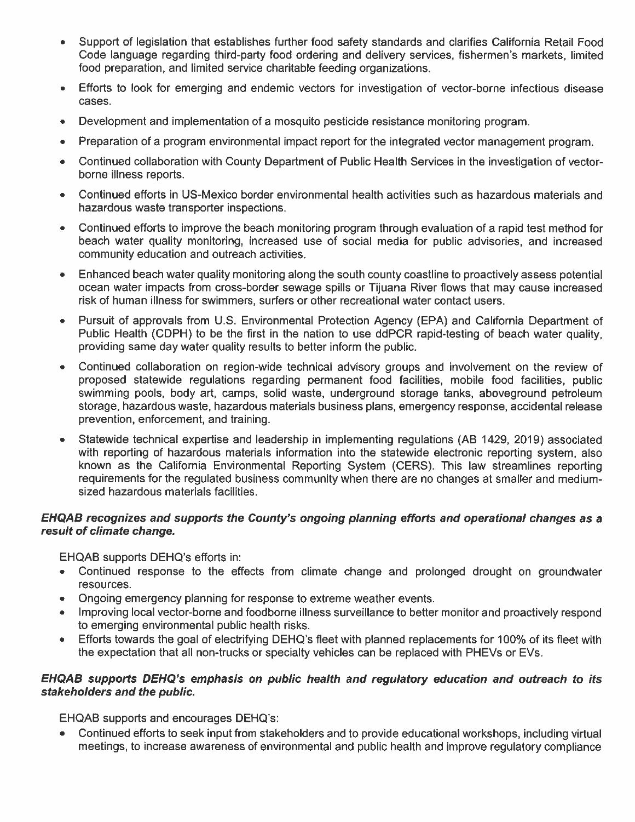- Support of legislation that establishes further food safety standards and clarifies California Retail Food Code language regarding third-party food ordering and delivery services, fishermen's markets, limited food preparation, and limited service charitable feeding organizations.
- Efforts to look for emerging and endemic vectors for investigation of vector-borne infectious disease  $\bullet$ cases.
- Development and implementation of a mosquito pesticide resistance monitoring program.  $\bullet$
- Preparation of a program environmental impact report for the integrated vector management program.  $\bullet$
- Continued collaboration with County Department of Public Health Services in the investigation of vector- $\bullet$ borne illness reports.
- Continued efforts in US-Mexico border environmental health activities such as hazardous materials and hazardous waste transporter inspections.
- Continued efforts to improve the beach monitoring program through evaluation of a rapid test method for beach water quality monitoring, increased use of social media for public advisories, and increased community education and outreach activities.
- Enhanced beach water quality monitoring along the south county coastline to proactively assess potential ocean water impacts from cross-border sewage spills or Tijuana River flows that may cause increased risk of human illness for swimmers, surfers or other recreational water contact users.
- Pursuit of approvals from U.S. Environmental Protection Agency (EPA) and California Department of Public Health (CDPH) to be the first in the nation to use ddPCR rapid-testing of beach water quality. providing same day water quality results to better inform the public.
- Continued collaboration on region-wide technical advisory groups and involvement on the review of proposed statewide regulations regarding permanent food facilities, mobile food facilities, public swimming pools, body art, camps, solid waste, underground storage tanks, aboveground petroleum storage, hazardous waste, hazardous materials business plans, emergency response, accidental release prevention, enforcement, and training.
- Statewide technical expertise and leadership in implementing regulations (AB 1429, 2019) associated  $\bullet$ with reporting of hazardous materials information into the statewide electronic reporting system, also known as the California Environmental Reporting System (CERS). This law streamlines reporting requirements for the regulated business community when there are no changes at smaller and mediumsized hazardous materials facilities.

#### EHQAB recognizes and supports the County's ongoing planning efforts and operational changes as a result of climate change.

EHQAB supports DEHQ's efforts in:

- Continued response to the effects from climate change and prolonged drought on groundwater resources.
- Ongoing emergency planning for response to extreme weather events.
- Improving local vector-borne and foodborne illness surveillance to better monitor and proactively respond to emerging environmental public health risks.
- Efforts towards the goal of electrifying DEHQ's fleet with planned replacements for 100% of its fleet with  $\bullet$ the expectation that all non-trucks or specialty vehicles can be replaced with PHEVs or EVs.

#### EHQAB supports DEHQ's emphasis on public health and regulatory education and outreach to its stakeholders and the public.

**EHQAB** supports and encourages DEHQ's:

Continued efforts to seek input from stakeholders and to provide educational workshops, including virtual meetings, to increase awareness of environmental and public health and improve regulatory compliance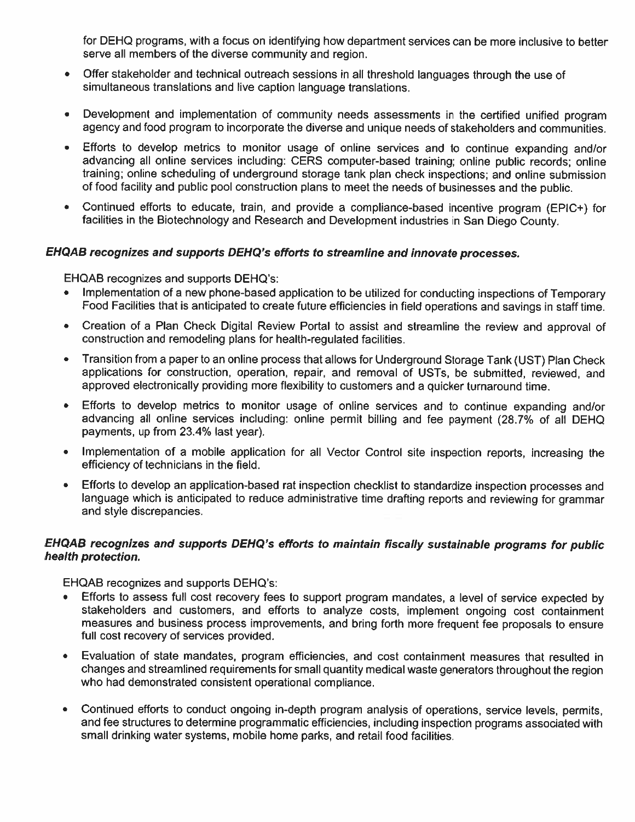for DEHQ programs, with a focus on identifying how department services can be more inclusive to better serve all members of the diverse community and region.

- Offer stakeholder and technical outreach sessions in all threshold languages through the use of  $\bullet$ simultaneous translations and live caption language translations.
- Development and implementation of community needs assessments in the certified unified program  $\bullet$ agency and food program to incorporate the diverse and unique needs of stakeholders and communities.
- Efforts to develop metrics to monitor usage of online services and to continue expanding and/or  $\bullet$ advancing all online services including: CERS computer-based training; online public records; online training; online scheduling of underground storage tank plan check inspections; and online submission of food facility and public pool construction plans to meet the needs of businesses and the public.
- Continued efforts to educate, train, and provide a compliance-based incentive program (EPIC+) for  $\bullet$ facilities in the Biotechnology and Research and Development industries in San Diego County.

#### EHQAB recognizes and supports DEHQ's efforts to streamline and innovate processes.

EHQAB recognizes and supports DEHQ's:

- Implementation of a new phone-based application to be utilized for conducting inspections of Temporary  $\bullet$ Food Facilities that is anticipated to create future efficiencies in field operations and savings in staff time.
- Creation of a Plan Check Digital Review Portal to assist and streamline the review and approval of  $\bullet$ construction and remodeling plans for health-regulated facilities.
- Transition from a paper to an online process that allows for Underground Storage Tank (UST) Plan Check  $\bullet$ applications for construction, operation, repair, and removal of USTs, be submitted, reviewed, and approved electronically providing more flexibility to customers and a quicker turnaround time.
- Efforts to develop metrics to monitor usage of online services and to continue expanding and/or  $\bullet$ advancing all online services including: online permit billing and fee payment (28.7% of all DEHQ payments, up from 23.4% last year).
- Implementation of a mobile application for all Vector Control site inspection reports, increasing the  $\bullet$ efficiency of technicians in the field.
- Efforts to develop an application-based rat inspection checklist to standardize inspection processes and  $\bullet$ language which is anticipated to reduce administrative time drafting reports and reviewing for grammar and style discrepancies.

#### EHQAB recognizes and supports DEHQ's efforts to maintain fiscally sustainable programs for public health protection.

EHQAB recognizes and supports DEHQ's:

- Efforts to assess full cost recovery fees to support program mandates, a level of service expected by  $\bullet$  . stakeholders and customers, and efforts to analyze costs, implement ongoing cost containment measures and business process improvements, and bring forth more frequent fee proposals to ensure full cost recovery of services provided.
- Evaluation of state mandates, program efficiencies, and cost containment measures that resulted in  $\bullet$ changes and streamlined requirements for small quantity medical waste generators throughout the region who had demonstrated consistent operational compliance.
- Continued efforts to conduct ongoing in-depth program analysis of operations, service levels, permits,  $\bullet$ and fee structures to determine programmatic efficiencies, including inspection programs associated with small drinking water systems, mobile home parks, and retail food facilities.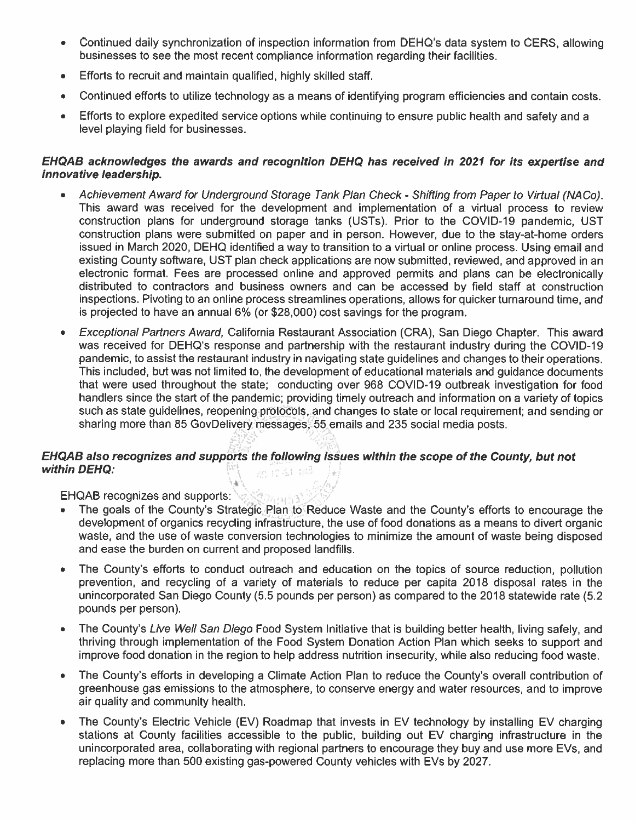- Continued daily synchronization of inspection information from DEHQ's data system to CERS, allowing businesses to see the most recent compliance information regarding their facilities.
- Efforts to recruit and maintain qualified, highly skilled staff,
- Continued efforts to utilize technology as a means of identifying program efficiencies and contain costs.  $\bullet$
- Efforts to explore expedited service options while continuing to ensure public health and safety and a level playing field for businesses.

#### EHQAB acknowledges the awards and recognition DEHQ has received in 2021 for its expertise and innovative leadership.

- Achievement Award for Underground Storage Tank Plan Check Shifting from Paper to Virtual (NACo). This award was received for the development and implementation of a virtual process to review construction plans for underground storage tanks (USTs). Prior to the COVID-19 pandemic, UST construction plans were submitted on paper and in person. However, due to the stay-at-home orders issued in March 2020, DEHQ identified a way to transition to a virtual or online process. Using email and existing County software, UST plan check applications are now submitted, reviewed, and approved in an electronic format. Fees are processed online and approved permits and plans can be electronically distributed to contractors and business owners and can be accessed by field staff at construction inspections. Pivoting to an online process streamlines operations, allows for quicker turnaround time, and is projected to have an annual 6% (or \$28,000) cost savings for the program.
- Exceptional Partners Award, California Restaurant Association (CRA), San Diego Chapter. This award was received for DEHQ's response and partnership with the restaurant industry during the COVID-19 pandemic, to assist the restaurant industry in navigating state guidelines and changes to their operations. This included, but was not limited to, the development of educational materials and guidance documents that were used throughout the state; conducting over 968 COVID-19 outbreak investigation for food handlers since the start of the pandemic; providing timely outreach and information on a variety of topics such as state guidelines, reopening protocols, and changes to state or local requirement; and sending or sharing more than 85 GovDelivery messages. 55 emails and 235 social media posts.

#### EHQAB also recognizes and supports the following issues within the scope of the County, but not within DEHQ: an in sit cell

EHQAB recognizes and supports: (2009)

- The goals of the County's Strategic Plan to Reduce Waste and the County's efforts to encourage the development of organics recycling infrastructure, the use of food donations as a means to divert organic waste, and the use of waste conversion technologies to minimize the amount of waste being disposed and ease the burden on current and proposed landfills.
- The County's efforts to conduct outreach and education on the topics of source reduction, pollution prevention, and recycling of a variety of materials to reduce per capita 2018 disposal rates in the unincorporated San Diego County (5.5 pounds per person) as compared to the 2018 statewide rate (5.2 pounds per person).
- The County's Live Well San Diego Food System Initiative that is building better health, living safely, and  $\bullet$ thriving through implementation of the Food System Donation Action Plan which seeks to support and improve food donation in the region to help address nutrition insecurity, while also reducing food waste.
- The County's efforts in developing a Climate Action Plan to reduce the County's overall contribution of  $\bullet$ greenhouse gas emissions to the atmosphere, to conserve energy and water resources, and to improve air quality and community health.
- The County's Electric Vehicle (EV) Roadmap that invests in EV technology by installing EV charging stations at County facilities accessible to the public, building out EV charging infrastructure in the unincorporated area, collaborating with regional partners to encourage they buy and use more EVs, and replacing more than 500 existing gas-powered County vehicles with EVs by 2027.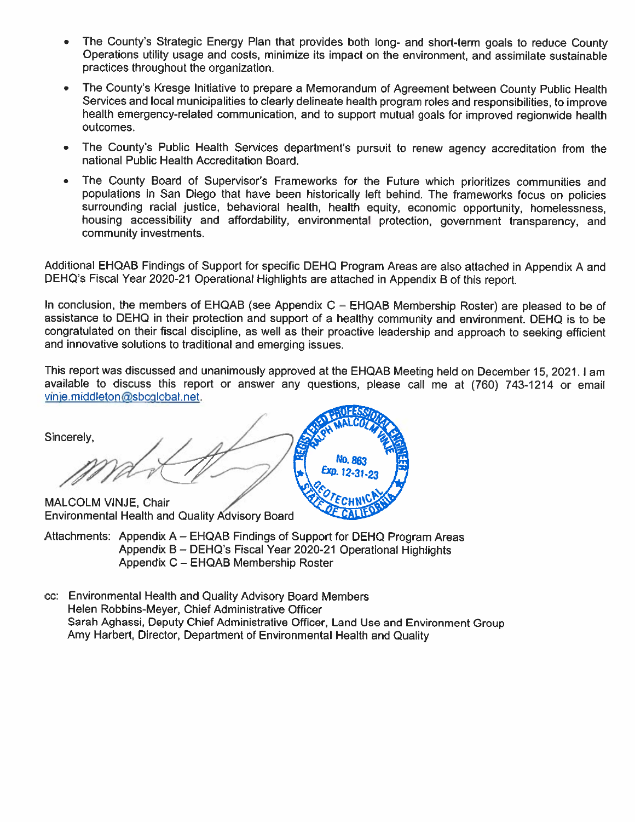- The County's Strategic Energy Plan that provides both long- and short-term goals to reduce County Operations utility usage and costs, minimize its impact on the environment, and assimilate sustainable practices throughout the organization.
- The County's Kresge Initiative to prepare a Memorandum of Agreement between County Public Health Services and local municipalities to clearly delineate health program roles and responsibilities, to improve health emergency-related communication, and to support mutual goals for improved regionwide health outcomes.
- The County's Public Health Services department's pursuit to renew agency accreditation from the  $\bullet$ national Public Health Accreditation Board.
- The County Board of Supervisor's Frameworks for the Future which prioritizes communities and  $\bullet$ populations in San Diego that have been historically left behind. The frameworks focus on policies surrounding racial justice, behavioral health, health equity, economic opportunity, homelessness, housing accessibility and affordability, environmental protection, government transparency, and community investments.

Additional EHQAB Findings of Support for specific DEHQ Program Areas are also attached in Appendix A and DEHQ's Fiscal Year 2020-21 Operational Highlights are attached in Appendix B of this report.

In conclusion, the members of EHQAB (see Appendix  $C - EHAAB$  Membership Roster) are pleased to be of assistance to DEHQ in their protection and support of a healthy community and environment. DEHQ is to be congratulated on their fiscal discipline, as well as their proactive leadership and approach to seeking efficient and innovative solutions to traditional and emerging issues.

This report was discussed and unanimously approved at the EHQAB Meeting held on December 15, 2021. I am available to discuss this report or answer any questions, please call me at (760) 743-1214 or email vinje.middleton@sbcqlobal.net.

Sincerely,  $12 - 31$ MALCOLM VINJE, Chair **Environmental Health and Quality Advisory Board** 

- Attachments: Appendix A EHQAB Findings of Support for DEHQ Program Areas Appendix B - DEHQ's Fiscal Year 2020-21 Operational Highlights Appendix C - EHQAB Membership Roster
- cc: Environmental Health and Quality Advisory Board Members Helen Robbins-Meyer, Chief Administrative Officer Sarah Aghassi, Deputy Chief Administrative Officer, Land Use and Environment Group Amy Harbert, Director, Department of Environmental Health and Quality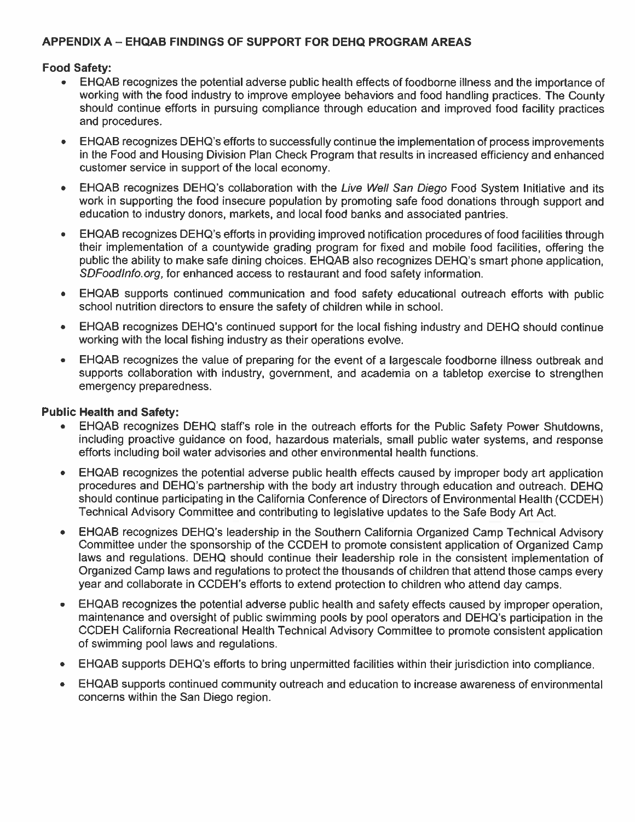#### APPENDIX A - EHQAB FINDINGS OF SUPPORT FOR DEHQ PROGRAM AREAS

#### **Food Safety:**

- EHQAB recognizes the potential adverse public health effects of foodborne illness and the importance of  $\bullet$ working with the food industry to improve employee behaviors and food handling practices. The County should continue efforts in pursuing compliance through education and improved food facility practices and procedures.
- EHQAB recognizes DEHQ's efforts to successfully continue the implementation of process improvements in the Food and Housing Division Plan Check Program that results in increased efficiency and enhanced customer service in support of the local economy.
- EHQAB recognizes DEHQ's collaboration with the Live Well San Diego Food System Initiative and its work in supporting the food insecure population by promoting safe food donations through support and education to industry donors, markets, and local food banks and associated pantries.
- EHQAB recognizes DEHQ's efforts in providing improved notification procedures of food facilities through their implementation of a countywide grading program for fixed and mobile food facilities, offering the public the ability to make safe dining choices. EHQAB also recognizes DEHQ's smart phone application. SDFoodInfo.org, for enhanced access to restaurant and food safety information.
- EHQAB supports continued communication and food safety educational outreach efforts with public school nutrition directors to ensure the safety of children while in school.
- EHQAB recognizes DEHQ's continued support for the local fishing industry and DEHQ should continue working with the local fishing industry as their operations evolve.
- EHQAB recognizes the value of preparing for the event of a largescale foodborne illness outbreak and supports collaboration with industry, government, and academia on a tabletop exercise to strengthen emergency preparedness.

#### **Public Health and Safety:**

- EHQAB recognizes DEHQ staff's role in the outreach efforts for the Public Safety Power Shutdowns, including proactive guidance on food, hazardous materials, small public water systems, and response efforts including boil water advisories and other environmental health functions.
- EHQAB recognizes the potential adverse public health effects caused by improper body art application procedures and DEHQ's partnership with the body art industry through education and outreach. DEHQ should continue participating in the California Conference of Directors of Environmental Health (CCDEH) Technical Advisory Committee and contributing to legislative updates to the Safe Body Art Act.
- EHQAB recognizes DEHQ's leadership in the Southern California Organized Camp Technical Advisory Committee under the sponsorship of the CCDEH to promote consistent application of Organized Camp laws and regulations. DEHQ should continue their leadership role in the consistent implementation of Organized Camp laws and regulations to protect the thousands of children that attend those camps every year and collaborate in CCDEH's efforts to extend protection to children who attend day camps.
- EHQAB recognizes the potential adverse public health and safety effects caused by improper operation, maintenance and oversight of public swimming pools by pool operators and DEHQ's participation in the CCDEH California Recreational Health Technical Advisory Committee to promote consistent application of swimming pool laws and regulations.
- EHQAB supports DEHQ's efforts to bring unpermitted facilities within their jurisdiction into compliance.  $\bullet$
- EHQAB supports continued community outreach and education to increase awareness of environmental concerns within the San Diego region.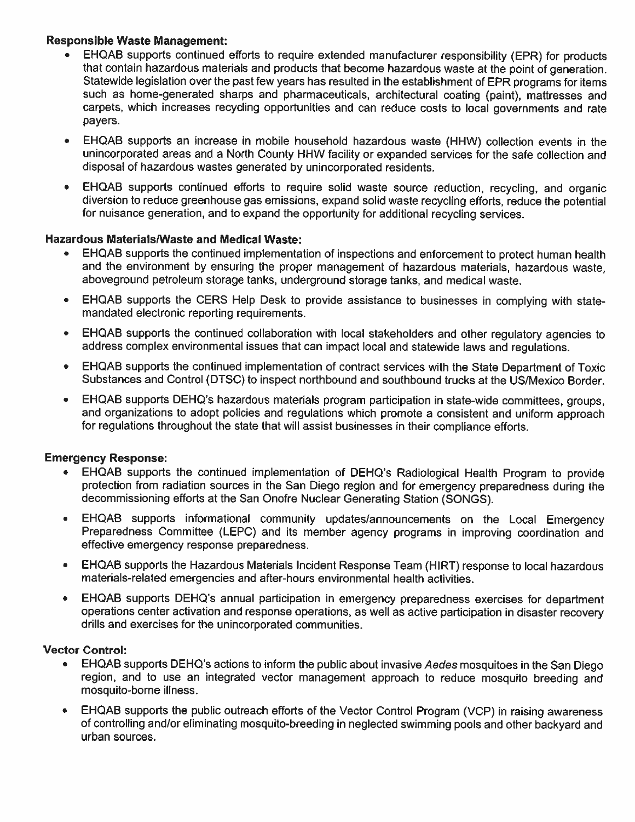#### **Responsible Waste Management:**

- EHQAB supports continued efforts to require extended manufacturer responsibility (EPR) for products that contain hazardous materials and products that become hazardous waste at the point of generation. Statewide legislation over the past few years has resulted in the establishment of EPR programs for items such as home-generated sharps and pharmaceuticals, architectural coating (paint), mattresses and carpets, which increases recycling opportunities and can reduce costs to local governments and rate payers.
- EHQAB supports an increase in mobile household hazardous waste (HHW) collection events in the  $\bullet$ unincorporated areas and a North County HHW facility or expanded services for the safe collection and disposal of hazardous wastes generated by unincorporated residents.
- $\bullet$ EHQAB supports continued efforts to require solid waste source reduction, recycling, and organic diversion to reduce greenhouse gas emissions, expand solid waste recycling efforts, reduce the potential for nuisance generation, and to expand the opportunity for additional recycling services.

#### **Hazardous Materials/Waste and Medical Waste:**

- EHQAB supports the continued implementation of inspections and enforcement to protect human health and the environment by ensuring the proper management of hazardous materials, hazardous waste. aboveground petroleum storage tanks, underground storage tanks, and medical waste.
- EHQAB supports the CERS Help Desk to provide assistance to businesses in complying with state- $\bullet$ mandated electronic reporting requirements.
- EHQAB supports the continued collaboration with local stakeholders and other regulatory agencies to  $\bullet$ address complex environmental issues that can impact local and statewide laws and regulations.
- EHQAB supports the continued implementation of contract services with the State Department of Toxic  $\bullet$ Substances and Control (DTSC) to inspect northbound and southbound trucks at the US/Mexico Border.
- EHQAB supports DEHQ's hazardous materials program participation in state-wide committees, groups,  $\bullet$ and organizations to adopt policies and regulations which promote a consistent and uniform approach for regulations throughout the state that will assist businesses in their compliance efforts.

#### **Emergency Response:**

- EHQAB supports the continued implementation of DEHQ's Radiological Health Program to provide protection from radiation sources in the San Diego region and for emergency preparedness during the decommissioning efforts at the San Onofre Nuclear Generating Station (SONGS).
- $\bullet$ EHQAB supports informational community updates/announcements on the Local Emergency Preparedness Committee (LEPC) and its member agency programs in improving coordination and effective emergency response preparedness.
- EHQAB supports the Hazardous Materials Incident Response Team (HIRT) response to local hazardous  $\bullet$ materials-related emergencies and after-hours environmental health activities.
- EHQAB supports DEHQ's annual participation in emergency preparedness exercises for department  $\bullet$ operations center activation and response operations, as well as active participation in disaster recovery drills and exercises for the unincorporated communities.

#### **Vector Control:**

- EHQAB supports DEHQ's actions to inform the public about invasive Aedes mosquitoes in the San Diego  $\bullet$ region, and to use an integrated vector management approach to reduce mosquito breeding and mosquito-borne illness.
- EHQAB supports the public outreach efforts of the Vector Control Program (VCP) in raising awareness  $\bullet$ of controlling and/or eliminating mosquito-breeding in neglected swimming pools and other backyard and urban sources.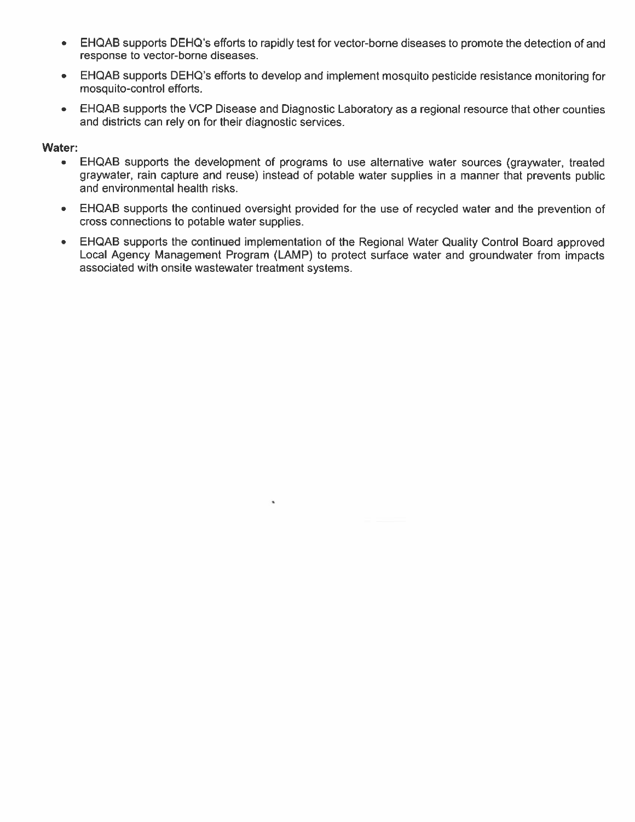- EHQAB supports DEHQ's efforts to rapidly test for vector-borne diseases to promote the detection of and  $\bullet$ response to vector-borne diseases.
- EHQAB supports DEHQ's efforts to develop and implement mosquito pesticide resistance monitoring for mosquito-control efforts.
- EHQAB supports the VCP Disease and Diagnostic Laboratory as a regional resource that other counties  $\bullet$  . and districts can rely on for their diagnostic services.

#### Water:

- EHQAB supports the development of programs to use alternative water sources (graywater, treated  $\bullet$ graywater, rain capture and reuse) instead of potable water supplies in a manner that prevents public and environmental health risks.
- EHQAB supports the continued oversight provided for the use of recycled water and the prevention of cross connections to potable water supplies.
- EHQAB supports the continued implementation of the Regional Water Quality Control Board approved Local Agency Management Program (LAMP) to protect surface water and groundwater from impacts associated with onsite wastewater treatment systems.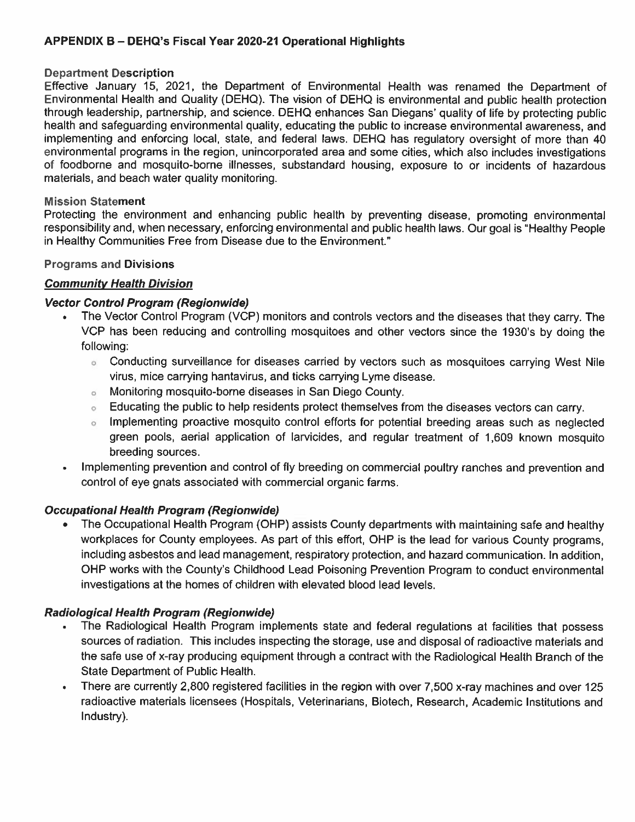#### APPENDIX B - DEHQ's Fiscal Year 2020-21 Operational Highlights

#### **Department Description**

Effective January 15, 2021, the Department of Environmental Health was renamed the Department of Environmental Health and Quality (DEHQ). The vision of DEHQ is environmental and public health protection through leadership, partnership, and science. DEHQ enhances San Diegans' quality of life by protecting public health and safeguarding environmental quality, educating the public to increase environmental awareness, and implementing and enforcing local, state, and federal laws. DEHQ has regulatory oversight of more than 40 environmental programs in the region, unincorporated area and some cities, which also includes investigations of foodborne and mosquito-borne illnesses, substandard housing, exposure to or incidents of hazardous materials, and beach water quality monitoring.

#### **Mission Statement**

Protecting the environment and enhancing public health by preventing disease, promoting environmental responsibility and, when necessary, enforcing environmental and public health laws. Our goal is "Healthy People in Healthy Communities Free from Disease due to the Environment."

#### **Programs and Divisions**

#### **Community Health Division**

#### **Vector Control Program (Regionwide)**

- The Vector Control Program (VCP) monitors and controls vectors and the diseases that they carry. The VCP has been reducing and controlling mosquitoes and other vectors since the 1930's by doing the following:
	- Conducting surveillance for diseases carried by vectors such as mosquitoes carrying West Nile ö. virus, mice carrying hantavirus, and ticks carrying Lyme disease.
	- Monitoring mosquito-borne diseases in San Diego County.  $\alpha$
	- Educating the public to help residents protect themselves from the diseases vectors can carry.  $\sigma$
	- Implementing proactive mosquito control efforts for potential breeding areas such as neglected  $\alpha$ green pools, aerial application of larvicides, and regular treatment of 1,609 known mosquito breeding sources.
- Implementing prevention and control of fly breeding on commercial poultry ranches and prevention and  $\bullet$ control of eye gnats associated with commercial organic farms.

#### **Occupational Health Program (Regionwide)**

The Occupational Health Program (OHP) assists County departments with maintaining safe and healthy workplaces for County employees. As part of this effort, OHP is the lead for various County programs. including asbestos and lead management, respiratory protection, and hazard communication. In addition, OHP works with the County's Childhood Lead Poisoning Prevention Program to conduct environmental investigations at the homes of children with elevated blood lead levels.

#### **Radiological Health Program (Regionwide)**

- The Radiological Health Program implements state and federal regulations at facilities that possess sources of radiation. This includes inspecting the storage, use and disposal of radioactive materials and the safe use of x-ray producing equipment through a contract with the Radiological Health Branch of the State Department of Public Health.
- There are currently 2,800 registered facilities in the region with over 7,500 x-ray machines and over 125  $\bullet$ radioactive materials licensees (Hospitals, Veterinarians, Biotech, Research, Academic Institutions and Industry).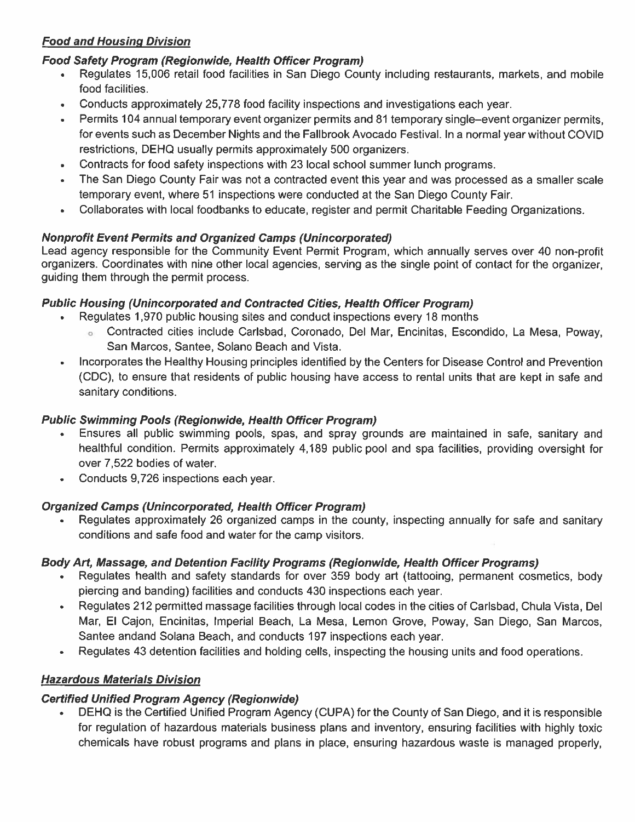# **Food and Housing Division**

#### **Food Safety Program (Regionwide, Health Officer Program)**

- Regulates 15,006 retail food facilities in San Diego County including restaurants, markets, and mobile food facilities.
- Conducts approximately 25,778 food facility inspections and investigations each year.
- Permits 104 annual temporary event organizer permits and 81 temporary single-event organizer permits, for events such as December Nights and the Fallbrook Avocado Festival. In a normal vear without COVID restrictions, DEHQ usually permits approximately 500 organizers.
- Contracts for food safety inspections with 23 local school summer lunch programs.  $\bullet$
- The San Diego County Fair was not a contracted event this year and was processed as a smaller scale temporary event, where 51 inspections were conducted at the San Diego County Fair.
- Collaborates with local foodbanks to educate, register and permit Charitable Feeding Organizations.

### **Nonprofit Event Permits and Organized Camps (Unincorporated)**

Lead agency responsible for the Community Event Permit Program, which annually serves over 40 non-profit organizers. Coordinates with nine other local agencies, serving as the single point of contact for the organizer. guiding them through the permit process.

#### **Public Housing (Unincorporated and Contracted Cities, Health Officer Program)**

- Regulates 1,970 public housing sites and conduct inspections every 18 months
	- o Contracted cities include Carlsbad, Coronado, Del Mar, Encinitas, Escondido, La Mesa, Poway, San Marcos, Santee, Solano Beach and Vista.
- Incorporates the Healthy Housing principles identified by the Centers for Disease Control and Prevention (CDC), to ensure that residents of public housing have access to rental units that are kept in safe and sanitary conditions.

#### **Public Swimming Pools (Regionwide, Health Officer Program)**

- Ensures all public swimming pools, spas, and spray grounds are maintained in safe, sanitary and healthful condition. Permits approximately 4,189 public pool and spa facilities, providing oversight for over 7,522 bodies of water.
- Conducts 9,726 inspections each year.

#### **Organized Camps (Unincorporated, Health Officer Program)**

Regulates approximately 26 organized camps in the county, inspecting annually for safe and sanitary conditions and safe food and water for the camp visitors.

# Body Art, Massage, and Detention Facility Programs (Regionwide, Health Officer Programs)

- Regulates health and safety standards for over 359 body art (tattooing, permanent cosmetics, body piercing and banding) facilities and conducts 430 inspections each year.
- Regulates 212 permitted massage facilities through local codes in the cities of Carlsbad, Chula Vista, Del Mar, El Cajon, Encinitas, Imperial Beach, La Mesa, Lemon Grove, Poway, San Diego, San Marcos, Santee andand Solana Beach, and conducts 197 inspections each year.
- Regulates 43 detention facilities and holding cells, inspecting the housing units and food operations.

# **Hazardous Materials Division**

#### **Certified Unified Program Agency (Regionwide)**

DEHQ is the Certified Unified Program Agency (CUPA) for the County of San Diego, and it is responsible for regulation of hazardous materials business plans and inventory, ensuring facilities with highly toxic chemicals have robust programs and plans in place, ensuring hazardous waste is managed properly.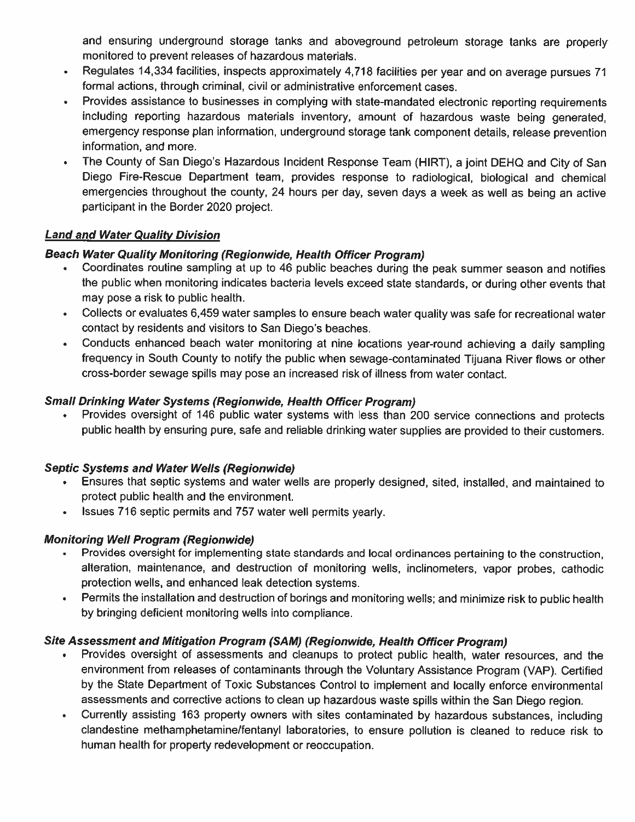and ensuring underground storage tanks and aboveground petroleum storage tanks are properly monitored to prevent releases of hazardous materials.

- Regulates 14,334 facilities, inspects approximately 4,718 facilities per year and on average pursues 71  $\bullet$ formal actions, through criminal, civil or administrative enforcement cases.
- Provides assistance to businesses in complying with state-mandated electronic reporting requirements  $\bullet$ including reporting hazardous materials inventory, amount of hazardous waste being generated. emergency response plan information, underground storage tank component details, release prevention information, and more.
- The County of San Diego's Hazardous Incident Response Team (HIRT), a joint DEHQ and City of San  $\bullet$ Diego Fire-Rescue Department team, provides response to radiological, biological and chemical emergencies throughout the county, 24 hours per day, seven days a week as well as being an active participant in the Border 2020 project.

#### **Land and Water Quality Division**

### **Beach Water Quality Monitoring (Regionwide, Health Officer Program)**

- Coordinates routine sampling at up to 46 public beaches during the peak summer season and notifies  $\bullet$  . the public when monitoring indicates bacteria levels exceed state standards, or during other events that may pose a risk to public health.
- Collects or evaluates 6,459 water samples to ensure beach water quality was safe for recreational water  $\bullet$ contact by residents and visitors to San Diego's beaches.
- Conducts enhanced beach water monitoring at nine locations year-round achieving a daily sampling  $\bullet$ frequency in South County to notify the public when sewage-contaminated Tijuana River flows or other cross-border sewage spills may pose an increased risk of illness from water contact.

#### **Small Drinking Water Systems (Regionwide, Health Officer Program)**

Provides oversight of 146 public water systems with less than 200 service connections and protects public health by ensuring pure, safe and reliable drinking water supplies are provided to their customers.

#### **Septic Systems and Water Wells (Regionwide)**

- Ensures that septic systems and water wells are properly designed, sited, installed, and maintained to protect public health and the environment.
- Issues 716 septic permits and 757 water well permits yearly.  $\bullet$

# **Monitoring Well Program (Regionwide)**

- Provides oversight for implementing state standards and local ordinances pertaining to the construction,  $\mathbf{e}^{(1)}$  . alteration, maintenance, and destruction of monitoring wells, inclinometers, vapor probes, cathodic protection wells, and enhanced leak detection systems.
- Permits the installation and destruction of borings and monitoring wells; and minimize risk to public health  $\bullet$ by bringing deficient monitoring wells into compliance.

#### Site Assessment and Mitigation Program (SAM) (Regionwide, Health Officer Program)

- Provides oversight of assessments and cleanups to protect public health, water resources, and the environment from releases of contaminants through the Voluntary Assistance Program (VAP). Certified by the State Department of Toxic Substances Control to implement and locally enforce environmental assessments and corrective actions to clean up hazardous waste spills within the San Diego region.
- Currently assisting 163 property owners with sites contaminated by hazardous substances, including  $\bullet$ clandestine methamphetamine/fentanyl laboratories, to ensure pollution is cleaned to reduce risk to human health for property redevelopment or reoccupation.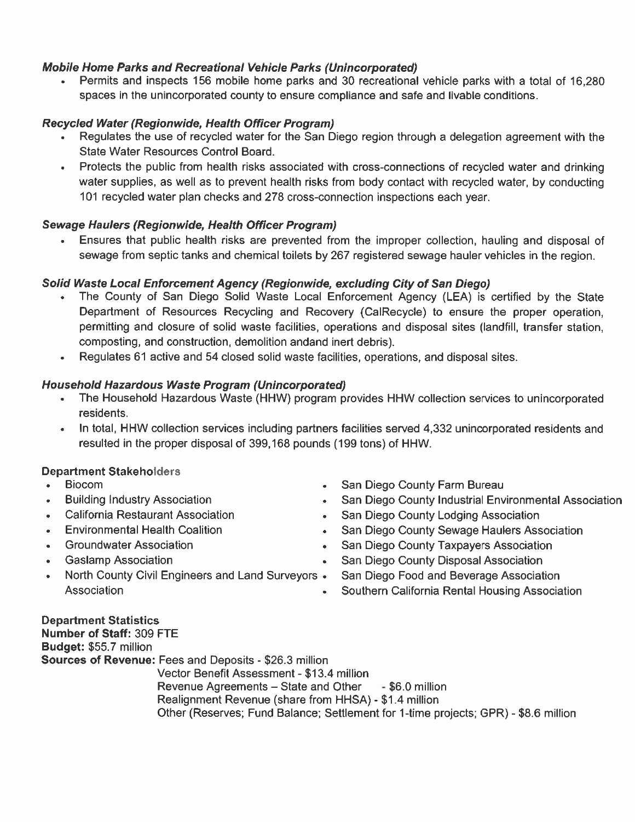### Mobile Home Parks and Recreational Vehicle Parks (Unincorporated)

• Permits and inspects 156 mobile home parks and 30 recreational vehicle parks with a total of 16,280 spaces in the unincorporated county to ensure compliance and safe and livable conditions.

#### **Recycled Water (Regionwide, Health Officer Program)**

- Regulates the use of recycled water for the San Diego region through a delegation agreement with the State Water Resources Control Board.
- Protects the public from health risks associated with cross-connections of recycled water and drinking water supplies, as well as to prevent health risks from body contact with recycled water, by conducting 101 recycled water plan checks and 278 cross-connection inspections each year.

#### **Sewage Haulers (Regionwide, Health Officer Program)**

• Ensures that public health risks are prevented from the improper collection, hauling and disposal of sewage from septic tanks and chemical toilets by 267 registered sewage hauler vehicles in the region.

#### Solid Waste Local Enforcement Agency (Regionwide, excluding City of San Diego)

- The County of San Diego Solid Waste Local Enforcement Agency (LEA) is certified by the State Department of Resources Recycling and Recovery (CalRecycle) to ensure the proper operation, permitting and closure of solid waste facilities, operations and disposal sites (landfill, transfer station, composting, and construction, demolition andand inert debris).
- Regulates 61 active and 54 closed solid waste facilities, operations, and disposal sites.  $\bullet$

#### Household Hazardous Waste Program (Unincorporated)

- The Household Hazardous Waste (HHW) program provides HHW collection services to unincorporated residents.
- In total, HHW collection services including partners facilities served 4,332 unincorporated residents and resulted in the proper disposal of 399,168 pounds (199 tons) of HHW.

#### **Department Stakeholders**

- **Biocom**  $\bullet$
- **Building Industry Association**  $\bullet$
- California Restaurant Association  $\bullet$
- **Environmental Health Coalition**
- **Groundwater Association**  $\bullet$
- **Gaslamp Association**
- North County Civil Engineers and Land Surveyors .  $\bullet$ Association
- San Diego County Farm Bureau
- San Diego County Industrial Environmental Association  $\bullet$
- San Diego County Lodging Association  $\bullet$  .
- San Diego County Sewage Haulers Association  $\bullet$  .
- San Diego County Taxpayers Association
- San Diego County Disposal Association
	- San Diego Food and Beverage Association
	- Southern California Rental Housing Association

**Department Statistics** Number of Staff: 309 FTE Budget: \$55.7 million **Sources of Revenue: Fees and Deposits - \$26.3 million** Vector Benefit Assessment - \$13.4 million Revenue Agreements - State and Other  $-$  \$6.0 million Realignment Revenue (share from HHSA) - \$1.4 million Other (Reserves; Fund Balance; Settlement for 1-time projects; GPR) - \$8.6 million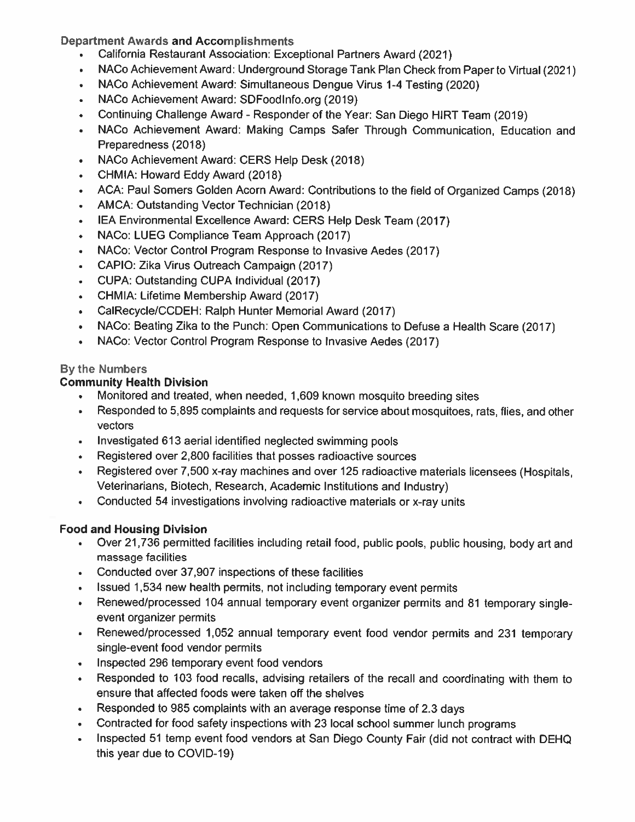**Department Awards and Accomplishments** 

- California Restaurant Association: Exceptional Partners Award (2021)
- NACo Achievement Award: Underground Storage Tank Plan Check from Paper to Virtual (2021)  $\bullet$
- NACo Achievement Award: Simultaneous Dengue Virus 1-4 Testing (2020)  $\bullet$
- NACo Achievement Award: SDFoodInfo.org (2019)  $\bullet$
- Continuing Challenge Award Responder of the Year: San Diego HIRT Team (2019)  $\bullet$
- NACo Achievement Award: Making Camps Safer Through Communication, Education and Preparedness (2018)
- NACo Achievement Award: CERS Help Desk (2018)  $\bullet$
- CHMIA: Howard Eddy Award (2018)
- ACA: Paul Somers Golden Acorn Award: Contributions to the field of Organized Camps (2018)  $\bullet$
- AMCA: Outstanding Vector Technician (2018)  $\bullet$
- IEA Environmental Excellence Award: CERS Help Desk Team (2017)  $\bullet$
- NACo: LUEG Compliance Team Approach (2017)  $\bullet$
- NACo: Vector Control Program Response to Invasive Aedes (2017)  $\bullet$
- CAPIO: Zika Virus Outreach Campaign (2017)  $\bullet$
- CUPA: Outstanding CUPA Individual (2017)  $\bullet$
- CHMIA: Lifetime Membership Award (2017)
- CalRecycle/CCDEH: Ralph Hunter Memorial Award (2017)  $\bullet$
- NACo: Beating Zika to the Punch: Open Communications to Defuse a Health Scare (2017)  $\bullet$
- NACo: Vector Control Program Response to Invasive Aedes (2017)  $\bullet$

# By the Numbers

# **Community Health Division**

- Monitored and treated, when needed, 1,609 known mosquito breeding sites
- Responded to 5,895 complaints and requests for service about mosquitoes, rats, flies, and other  $\bullet$  . vectors
- Investigated 613 aerial identified neglected swimming pools
- Registered over 2,800 facilities that posses radioactive sources
- Registered over 7,500 x-ray machines and over 125 radioactive materials licensees (Hospitals. Veterinarians, Biotech, Research, Academic Institutions and Industry)
- Conducted 54 investigations involving radioactive materials or x-ray units

# **Food and Housing Division**

- Over 21,736 permitted facilities including retail food, public pools, public housing, body art and massage facilities
- Conducted over 37,907 inspections of these facilities
- Issued 1,534 new health permits, not including temporary event permits
- Renewed/processed 104 annual temporary event organizer permits and 81 temporary singleevent organizer permits
- Renewed/processed 1,052 annual temporary event food vendor permits and 231 temporary  $\bullet$  . The set of  $\bullet$ single-event food vendor permits
- Inspected 296 temporary event food vendors
- Responded to 103 food recalls, advising retailers of the recall and coordinating with them to ensure that affected foods were taken off the shelves
- Responded to 985 complaints with an average response time of 2.3 days
- $\bullet$  . Contracted for food safety inspections with 23 local school summer lunch programs
- Inspected 51 temp event food vendors at San Diego County Fair (did not contract with DEHQ  $\bullet$  . this year due to COVID-19)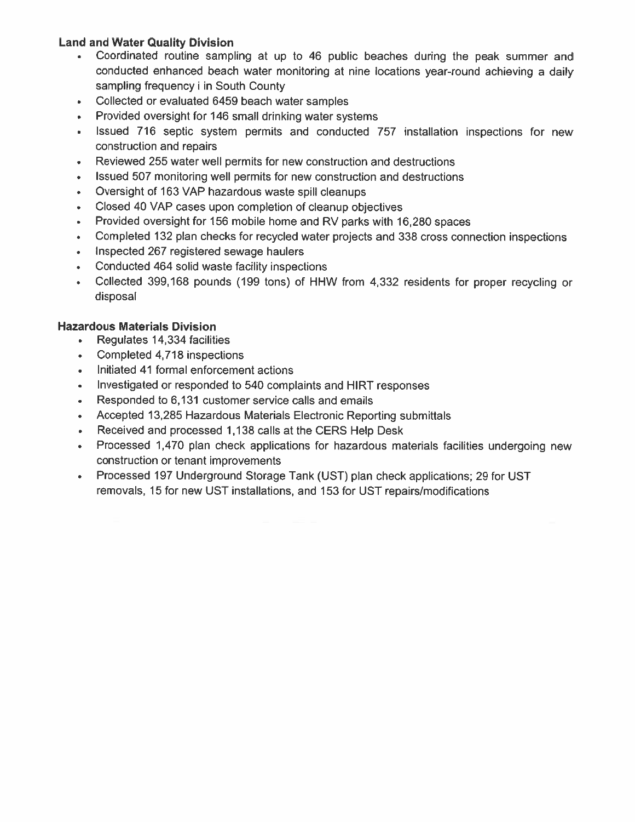#### **Land and Water Quality Division**

- Coordinated routine sampling at up to 46 public beaches during the peak summer and conducted enhanced beach water monitoring at nine locations year-round achieving a daily sampling frequency i in South County
- Collected or evaluated 6459 beach water samples  $\bullet$
- Provided oversight for 146 small drinking water systems  $\bullet$
- Issued 716 septic system permits and conducted 757 installation inspections for new  $\hat{\mathbf{r}}$ construction and repairs
- Reviewed 255 water well permits for new construction and destructions  $\bullet$
- Issued 507 monitoring well permits for new construction and destructions  $\bullet$
- Oversight of 163 VAP hazardous waste spill cleanups  $\bullet$
- Closed 40 VAP cases upon completion of cleanup objectives  $\bullet$
- Provided oversight for 156 mobile home and RV parks with 16,280 spaces  $\bullet$
- Completed 132 plan checks for recycled water projects and 338 cross connection inspections  $\bullet$
- Inspected 267 registered sewage haulers  $\bullet$
- Conducted 464 solid waste facility inspections  $\bullet$
- Collected 399,168 pounds (199 tons) of HHW from 4,332 residents for proper recycling or  $\bullet$ disposal

#### **Hazardous Materials Division**

- Regulates 14,334 facilities
- Completed 4,718 inspections
- Initiated 41 formal enforcement actions
- Investigated or responded to 540 complaints and HIRT responses  $\bullet$
- Responded to 6,131 customer service calls and emails  $\bullet$
- Accepted 13,285 Hazardous Materials Electronic Reporting submittals
- Received and processed 1,138 calls at the CERS Help Desk  $\bullet$
- Processed 1,470 plan check applications for hazardous materials facilities undergoing new  $\bullet$ construction or tenant improvements
- Processed 197 Underground Storage Tank (UST) plan check applications; 29 for UST removals, 15 for new UST installations, and 153 for UST repairs/modifications